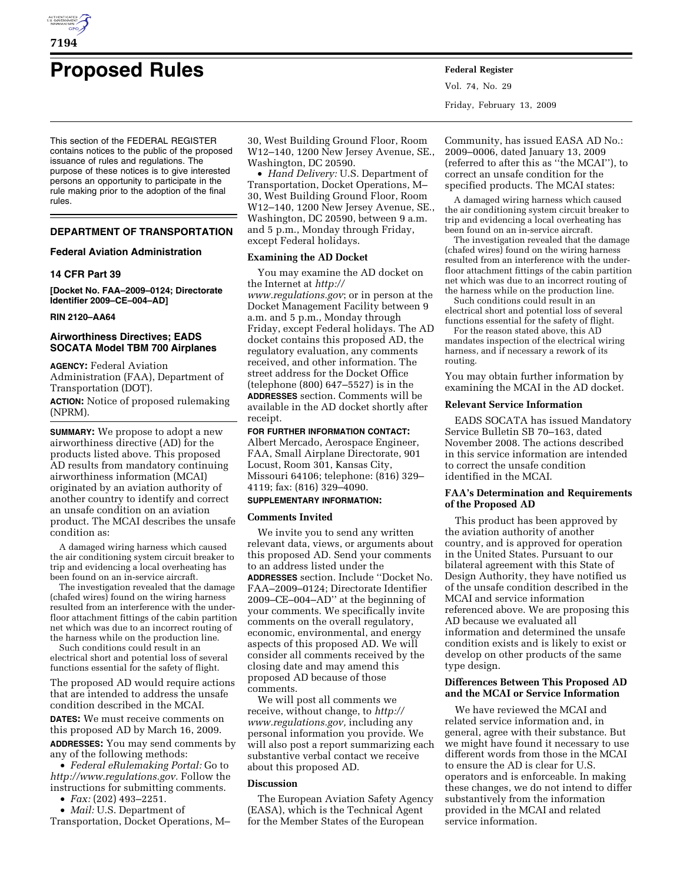

# **Proposed Rules Federal Register**

This section of the FEDERAL REGISTER contains notices to the public of the proposed issuance of rules and regulations. The purpose of these notices is to give interested persons an opportunity to participate in the rule making prior to the adoption of the final rules.

# **DEPARTMENT OF TRANSPORTATION**

## **Federal Aviation Administration**

# **14 CFR Part 39**

**[Docket No. FAA–2009–0124; Directorate Identifier 2009–CE–004–AD]** 

# **RIN 2120–AA64**

# **Airworthiness Directives; EADS SOCATA Model TBM 700 Airplanes**

**AGENCY:** Federal Aviation Administration (FAA), Department of Transportation (DOT).

**ACTION:** Notice of proposed rulemaking (NPRM).

**SUMMARY:** We propose to adopt a new airworthiness directive (AD) for the products listed above. This proposed AD results from mandatory continuing airworthiness information (MCAI) originated by an aviation authority of another country to identify and correct an unsafe condition on an aviation product. The MCAI describes the unsafe condition as:

A damaged wiring harness which caused the air conditioning system circuit breaker to trip and evidencing a local overheating has been found on an in-service aircraft.

The investigation revealed that the damage (chafed wires) found on the wiring harness resulted from an interference with the underfloor attachment fittings of the cabin partition net which was due to an incorrect routing of the harness while on the production line.

Such conditions could result in an electrical short and potential loss of several functions essential for the safety of flight.

The proposed AD would require actions that are intended to address the unsafe condition described in the MCAI.

**DATES:** We must receive comments on this proposed AD by March 16, 2009. **ADDRESSES:** You may send comments by any of the following methods:

• *Federal eRulemaking Portal:* Go to *http://www.regulations.gov.* Follow the instructions for submitting comments.

• *Fax:* (202) 493–2251.

• *Mail:* U.S. Department of Transportation, Docket Operations, M– 30, West Building Ground Floor, Room W12–140, 1200 New Jersey Avenue, SE., Washington, DC 20590.

• *Hand Delivery:* U.S. Department of Transportation, Docket Operations, M– 30, West Building Ground Floor, Room W12–140, 1200 New Jersey Avenue, SE., Washington, DC 20590, between 9 a.m. and 5 p.m., Monday through Friday, except Federal holidays.

## **Examining the AD Docket**

You may examine the AD docket on the Internet at *http://* 

*www.regulations.gov*; or in person at the Docket Management Facility between 9 a.m. and 5 p.m., Monday through Friday, except Federal holidays. The AD docket contains this proposed AD, the regulatory evaluation, any comments received, and other information. The street address for the Docket Office (telephone (800) 647–5527) is in the **ADDRESSES** section. Comments will be available in the AD docket shortly after receipt.

# **FOR FURTHER INFORMATION CONTACT:**

Albert Mercado, Aerospace Engineer, FAA, Small Airplane Directorate, 901 Locust, Room 301, Kansas City, Missouri 64106; telephone: (816) 329– 4119; fax: (816) 329–4090.

## **SUPPLEMENTARY INFORMATION:**

#### **Comments Invited**

We invite you to send any written relevant data, views, or arguments about this proposed AD. Send your comments to an address listed under the **ADDRESSES** section. Include ''Docket No. FAA–2009–0124; Directorate Identifier 2009–CE–004–AD'' at the beginning of your comments. We specifically invite comments on the overall regulatory, economic, environmental, and energy aspects of this proposed AD. We will consider all comments received by the closing date and may amend this proposed AD because of those comments.

We will post all comments we receive, without change, to *http:// www.regulations.gov,* including any personal information you provide. We will also post a report summarizing each substantive verbal contact we receive about this proposed AD.

## **Discussion**

The European Aviation Safety Agency (EASA), which is the Technical Agent for the Member States of the European

Vol. 74, No. 29 Friday, February 13, 2009

Community, has issued EASA AD No.: 2009–0006, dated January 13, 2009 (referred to after this as ''the MCAI''), to correct an unsafe condition for the specified products. The MCAI states:

A damaged wiring harness which caused the air conditioning system circuit breaker to trip and evidencing a local overheating has been found on an in-service aircraft.

The investigation revealed that the damage (chafed wires) found on the wiring harness resulted from an interference with the underfloor attachment fittings of the cabin partition net which was due to an incorrect routing of the harness while on the production line.

Such conditions could result in an electrical short and potential loss of several functions essential for the safety of flight.

For the reason stated above, this AD mandates inspection of the electrical wiring harness, and if necessary a rework of its routing.

You may obtain further information by examining the MCAI in the AD docket.

# **Relevant Service Information**

EADS SOCATA has issued Mandatory Service Bulletin SB 70–163, dated November 2008. The actions described in this service information are intended to correct the unsafe condition identified in the MCAI.

# **FAA's Determination and Requirements of the Proposed AD**

This product has been approved by the aviation authority of another country, and is approved for operation in the United States. Pursuant to our bilateral agreement with this State of Design Authority, they have notified us of the unsafe condition described in the MCAI and service information referenced above. We are proposing this AD because we evaluated all information and determined the unsafe condition exists and is likely to exist or develop on other products of the same type design.

## **Differences Between This Proposed AD and the MCAI or Service Information**

We have reviewed the MCAI and related service information and, in general, agree with their substance. But we might have found it necessary to use different words from those in the MCAI to ensure the AD is clear for U.S. operators and is enforceable. In making these changes, we do not intend to differ substantively from the information provided in the MCAI and related service information.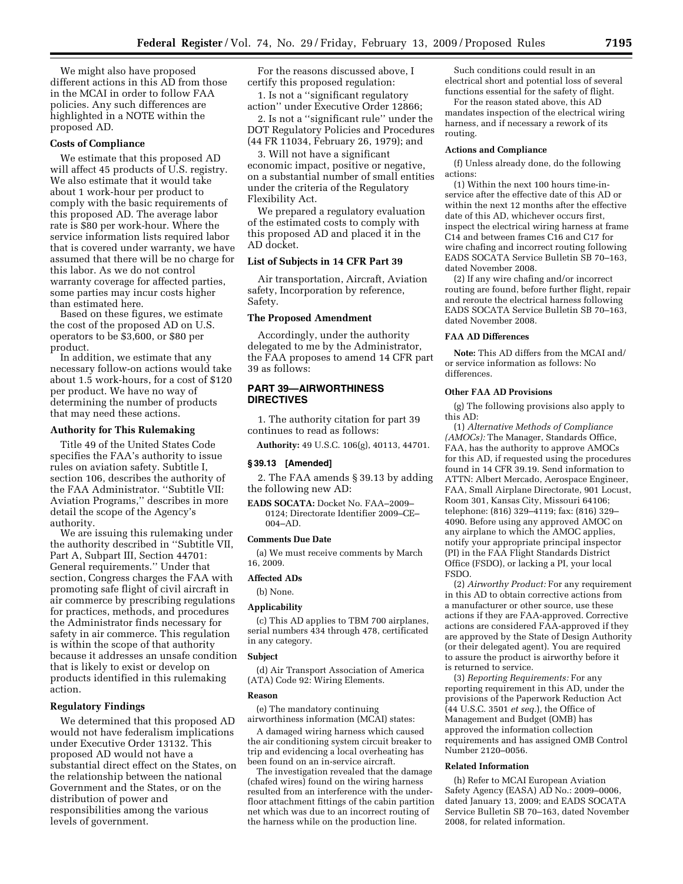We might also have proposed different actions in this AD from those in the MCAI in order to follow FAA policies. Any such differences are highlighted in a NOTE within the proposed AD.

#### **Costs of Compliance**

We estimate that this proposed AD will affect 45 products of U.S. registry. We also estimate that it would take about 1 work-hour per product to comply with the basic requirements of this proposed AD. The average labor rate is \$80 per work-hour. Where the service information lists required labor that is covered under warranty, we have assumed that there will be no charge for this labor. As we do not control warranty coverage for affected parties, some parties may incur costs higher than estimated here.

Based on these figures, we estimate the cost of the proposed AD on U.S. operators to be \$3,600, or \$80 per product.

In addition, we estimate that any necessary follow-on actions would take about 1.5 work-hours, for a cost of \$120 per product. We have no way of determining the number of products that may need these actions.

# **Authority for This Rulemaking**

Title 49 of the United States Code specifies the FAA's authority to issue rules on aviation safety. Subtitle I, section 106, describes the authority of the FAA Administrator. ''Subtitle VII: Aviation Programs,'' describes in more detail the scope of the Agency's authority.

We are issuing this rulemaking under the authority described in ''Subtitle VII, Part A, Subpart III, Section 44701: General requirements.'' Under that section, Congress charges the FAA with promoting safe flight of civil aircraft in air commerce by prescribing regulations for practices, methods, and procedures the Administrator finds necessary for safety in air commerce. This regulation is within the scope of that authority because it addresses an unsafe condition that is likely to exist or develop on products identified in this rulemaking action.

# **Regulatory Findings**

We determined that this proposed AD would not have federalism implications under Executive Order 13132. This proposed AD would not have a substantial direct effect on the States, on the relationship between the national Government and the States, or on the distribution of power and responsibilities among the various levels of government.

For the reasons discussed above, I certify this proposed regulation:

1. Is not a ''significant regulatory action'' under Executive Order 12866;

2. Is not a ''significant rule'' under the DOT Regulatory Policies and Procedures (44 FR 11034, February 26, 1979); and

3. Will not have a significant economic impact, positive or negative, on a substantial number of small entities under the criteria of the Regulatory Flexibility Act.

We prepared a regulatory evaluation of the estimated costs to comply with this proposed AD and placed it in the AD docket.

# **List of Subjects in 14 CFR Part 39**

Air transportation, Aircraft, Aviation safety, Incorporation by reference, Safety.

# **The Proposed Amendment**

Accordingly, under the authority delegated to me by the Administrator, the FAA proposes to amend 14 CFR part 39 as follows:

# **PART 39—AIRWORTHINESS DIRECTIVES**

1. The authority citation for part 39 continues to read as follows:

**Authority:** 49 U.S.C. 106(g), 40113, 44701.

# **§ 39.13 [Amended]**

2. The FAA amends § 39.13 by adding the following new AD:

**EADS SOCATA:** Docket No. FAA–2009– 0124; Directorate Identifier 2009–CE–  $004 - AD$ 

## **Comments Due Date**

(a) We must receive comments by March 16, 2009.

#### **Affected ADs**

(b) None.

# **Applicability**

(c) This AD applies to TBM 700 airplanes, serial numbers 434 through 478, certificated in any category.

#### **Subject**

(d) Air Transport Association of America (ATA) Code 92: Wiring Elements.

#### **Reason**

(e) The mandatory continuing airworthiness information (MCAI) states:

A damaged wiring harness which caused the air conditioning system circuit breaker to trip and evidencing a local overheating has been found on an in-service aircraft.

The investigation revealed that the damage (chafed wires) found on the wiring harness resulted from an interference with the underfloor attachment fittings of the cabin partition net which was due to an incorrect routing of the harness while on the production line.

Such conditions could result in an electrical short and potential loss of several functions essential for the safety of flight.

For the reason stated above, this AD mandates inspection of the electrical wiring harness, and if necessary a rework of its routing.

#### **Actions and Compliance**

(f) Unless already done, do the following actions:

(1) Within the next 100 hours time-inservice after the effective date of this AD or within the next 12 months after the effective date of this AD, whichever occurs first, inspect the electrical wiring harness at frame C14 and between frames C16 and C17 for wire chafing and incorrect routing following EADS SOCATA Service Bulletin SB 70–163, dated November 2008.

(2) If any wire chafing and/or incorrect routing are found, before further flight, repair and reroute the electrical harness following EADS SOCATA Service Bulletin SB 70–163, dated November 2008.

# **FAA AD Differences**

**Note:** This AD differs from the MCAI and/ or service information as follows: No differences.

### **Other FAA AD Provisions**

(g) The following provisions also apply to this AD:

(1) *Alternative Methods of Compliance (AMOCs):* The Manager, Standards Office, FAA, has the authority to approve AMOCs for this AD, if requested using the procedures found in 14 CFR 39.19. Send information to ATTN: Albert Mercado, Aerospace Engineer, FAA, Small Airplane Directorate, 901 Locust, Room 301, Kansas City, Missouri 64106; telephone: (816) 329–4119; fax: (816) 329– 4090. Before using any approved AMOC on any airplane to which the AMOC applies, notify your appropriate principal inspector (PI) in the FAA Flight Standards District Office (FSDO), or lacking a PI, your local FSDO.

(2) *Airworthy Product:* For any requirement in this AD to obtain corrective actions from a manufacturer or other source, use these actions if they are FAA-approved. Corrective actions are considered FAA-approved if they are approved by the State of Design Authority (or their delegated agent). You are required to assure the product is airworthy before it is returned to service.

(3) *Reporting Requirements:* For any reporting requirement in this AD, under the provisions of the Paperwork Reduction Act (44 U.S.C. 3501 *et seq.*), the Office of Management and Budget (OMB) has approved the information collection requirements and has assigned OMB Control Number 2120–0056.

## **Related Information**

(h) Refer to MCAI European Aviation Safety Agency (EASA) AD No.: 2009–0006, dated January 13, 2009; and EADS SOCATA Service Bulletin SB 70–163, dated November 2008, for related information.